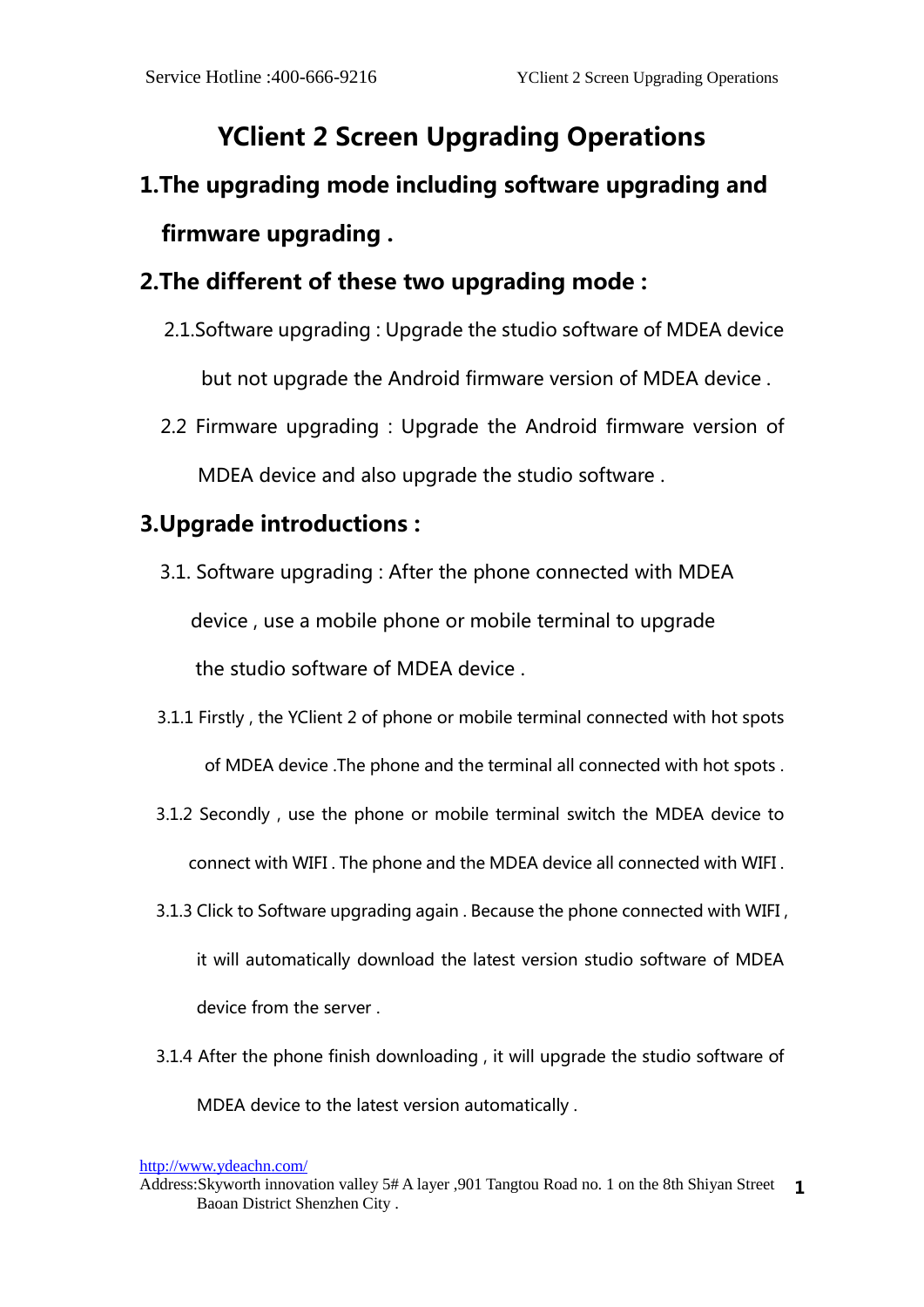## **YClient 2 Screen Upgrading Operations**

## **1.The upgrading mode including software upgrading and firmware upgrading .**

## **2.The different of these two upgrading mode :**

- 2.1.Software upgrading : Upgrade the studio software of MDEA device but not upgrade the Android firmware version of MDEA device .
- 2.2 Firmware upgrading : Upgrade the Android firmware version of MDEA device and also upgrade the studio software .

## **3.Upgrade introductions :**

- 3.1. Software upgrading : After the phone connected with MDEA device , use a mobile phone or mobile terminal to upgrade the studio software of MDEA device .
- 3.1.1 Firstly , the YClient 2 of phone or mobile terminal connected with hot spots of MDEA device .The phone and the terminal all connected with hot spots .
- 3.1.2 Secondly , use the phone or mobile terminal switch the MDEA device to connect with WIFI . The phone and the MDEA device all connected with WIFI .
- 3.1.3 Click to Software upgrading again . Because the phone connected with WIFI , it will automatically download the latest version studio software of MDEA device from the server .
- 3.1.4 After the phone finish downloading , it will upgrade the studio software of MDEA device to the latest version automatically .

<http://www.ydeachn.com/>

Address:Skyworth innovation valley 5# A layer ,901 Tangtou Road no. 1 on the 8th Shiyan Street **1**Baoan District Shenzhen City .